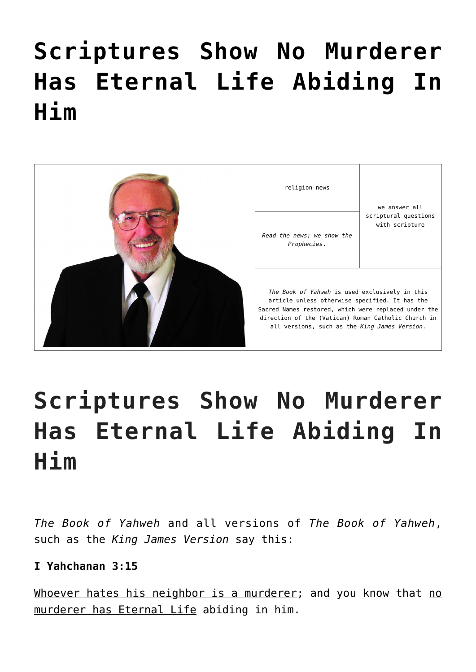# **[Scriptures Show No Murderer](https://yahwehsbranch.com/scriptures-show-no-murderer-has-eternal-life-abiding-in-him/) [Has Eternal Life Abiding In](https://yahwehsbranch.com/scriptures-show-no-murderer-has-eternal-life-abiding-in-him/) [Him](https://yahwehsbranch.com/scriptures-show-no-murderer-has-eternal-life-abiding-in-him/)**



religion-news

we answer all scriptural questions with scripture

*Prophecies*.

*The Book of Yahweh* is used exclusively in this article unless otherwise specified. It has the Sacred Names restored, which were replaced under the direction of the (Vatican) Roman Catholic Church in all versions, such as the *King James Version*.

# **Scriptures Show No Murderer Has Eternal Life Abiding In Him**

*The Book of Yahweh* and all versions of *The Book of Yahweh*, such as the *King James Version* say this:

# **I Yahchanan 3:15**

Whoever hates his neighbor is a murderer; and you know that no murderer has Eternal Life abiding in him.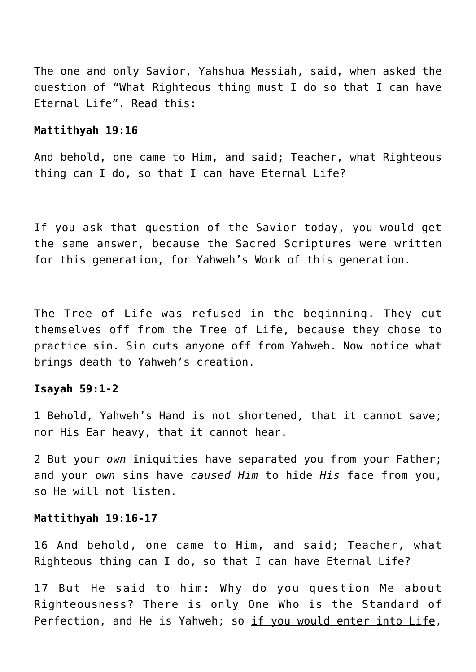The one and only Savior, Yahshua Messiah, said, when asked the question of "What Righteous thing must I do so that I can have Eternal Life". Read this:

#### **Mattithyah 19:16**

And behold, one came to Him, and said; Teacher, what Righteous thing can I do, so that I can have Eternal Life?

If you ask that question of the Savior today, you would get the same answer, because the Sacred Scriptures were written for this generation, for Yahweh's Work of this generation.

The Tree of Life was refused in the beginning. They cut themselves off from the Tree of Life, because they chose to practice sin. Sin cuts anyone off from Yahweh. Now notice what brings death to Yahweh's creation.

#### **Isayah 59:1-2**

1 Behold, Yahweh's Hand is not shortened, that it cannot save; nor His Ear heavy, that it cannot hear.

2 But your *own* iniquities have separated you from your Father; and your *own* sins have *caused Him* to hide *His* face from you, so He will not listen.

#### **Mattithyah 19:16-17**

16 And behold, one came to Him, and said; Teacher, what Righteous thing can I do, so that I can have Eternal Life?

17 But He said to him: Why do you question Me about Righteousness? There is only One Who is the Standard of Perfection, and He is Yahweh; so if you would enter into Life,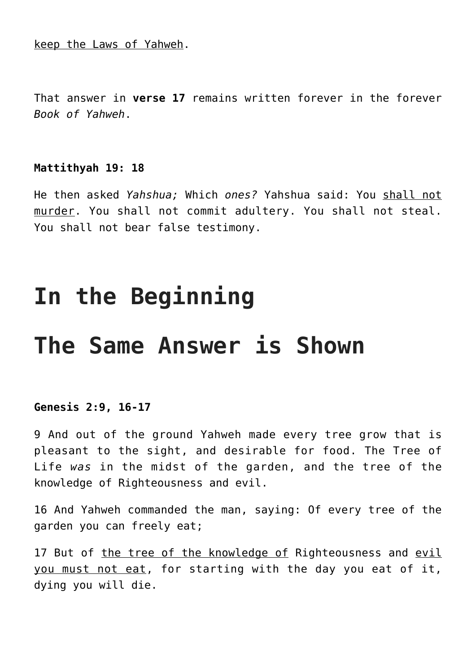keep the Laws of Yahweh.

That answer in **verse 17** remains written forever in the forever *Book of Yahweh*.

#### **Mattithyah 19: 18**

He then asked *Yahshua;* Which *ones?* Yahshua said: You shall not murder. You shall not commit adultery. You shall not steal. You shall not bear false testimony.

# **In the Beginning**

# **The Same Answer is Shown**

#### **Genesis 2:9, 16-17**

9 And out of the ground Yahweh made every tree grow that is pleasant to the sight, and desirable for food. The Tree of Life *was* in the midst of the garden, and the tree of the knowledge of Righteousness and evil.

16 And Yahweh commanded the man, saying: Of every tree of the garden you can freely eat;

17 But of the tree of the knowledge of Righteousness and evil you must not eat, for starting with the day you eat of it, dying you will die.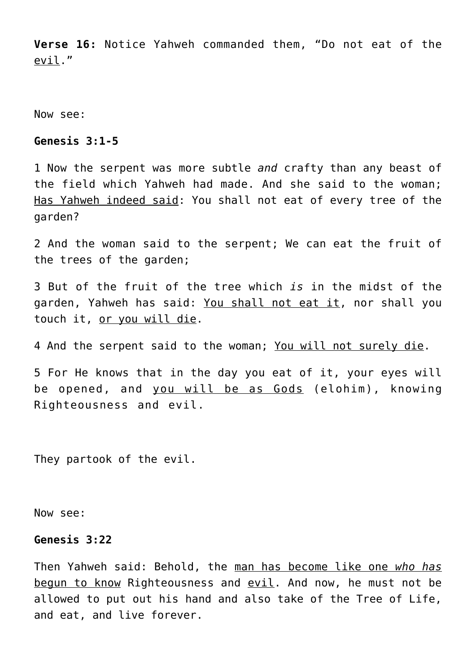**Verse 16:** Notice Yahweh commanded them, "Do not eat of the evil."

Now see:

#### **Genesis 3:1-5**

1 Now the serpent was more subtle *and* crafty than any beast of the field which Yahweh had made. And she said to the woman; Has Yahweh indeed said: You shall not eat of every tree of the garden?

2 And the woman said to the serpent; We can eat the fruit of the trees of the garden;

3 But of the fruit of the tree which *is* in the midst of the garden, Yahweh has said: You shall not eat it, nor shall you touch it, or you will die.

4 And the serpent said to the woman; You will not surely die.

5 For He knows that in the day you eat of it, your eyes will be opened, and you will be as Gods (elohim), knowing Righteousness and evil.

They partook of the evil.

Now see:

#### **Genesis 3:22**

Then Yahweh said: Behold, the man has become like one *who has* begun to know Righteousness and evil. And now, he must not be allowed to put out his hand and also take of the Tree of Life, and eat, and live forever.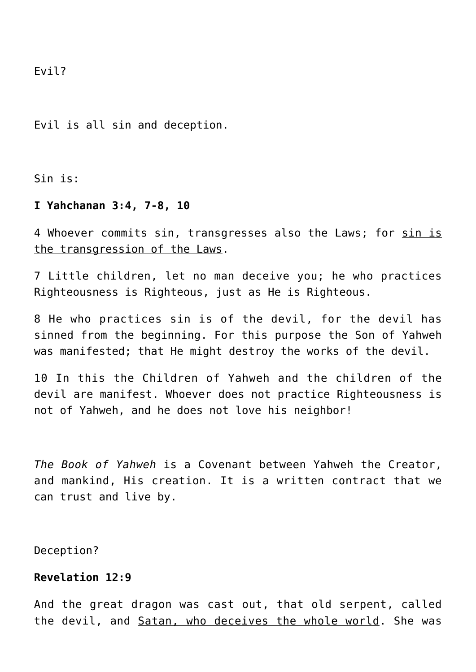Evil?

Evil is all sin and deception.

Sin is:

#### **I Yahchanan 3:4, 7-8, 10**

4 Whoever commits sin, transgresses also the Laws; for sin is the transgression of the Laws.

7 Little children, let no man deceive you; he who practices Righteousness is Righteous, just as He is Righteous.

8 He who practices sin is of the devil, for the devil has sinned from the beginning. For this purpose the Son of Yahweh was manifested; that He might destroy the works of the devil.

10 In this the Children of Yahweh and the children of the devil are manifest. Whoever does not practice Righteousness is not of Yahweh, and he does not love his neighbor!

*The Book of Yahweh* is a Covenant between Yahweh the Creator, and mankind, His creation. It is a written contract that we can trust and live by.

Deception?

# **Revelation 12:9**

And the great dragon was cast out, that old serpent, called the devil, and Satan, who deceives the whole world. She was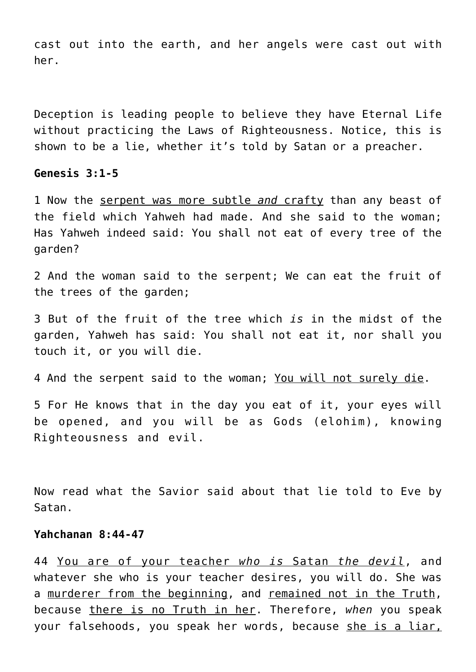cast out into the earth, and her angels were cast out with her.

Deception is leading people to believe they have Eternal Life without practicing the Laws of Righteousness. Notice, this is shown to be a lie, whether it's told by Satan or a preacher.

# **Genesis 3:1-5**

1 Now the serpent was more subtle *and* crafty than any beast of the field which Yahweh had made. And she said to the woman; Has Yahweh indeed said: You shall not eat of every tree of the garden?

2 And the woman said to the serpent; We can eat the fruit of the trees of the garden;

3 But of the fruit of the tree which *is* in the midst of the garden, Yahweh has said: You shall not eat it, nor shall you touch it, or you will die.

4 And the serpent said to the woman; You will not surely die.

5 For He knows that in the day you eat of it, your eyes will be opened, and you will be as Gods (elohim), knowing Righteousness and evil.

Now read what the Savior said about that lie told to Eve by Satan.

#### **Yahchanan 8:44-47**

44 You are of your teacher *who is* Satan *the devil*, and whatever she who is your teacher desires, you will do. She was a murderer from the beginning, and remained not in the Truth, because there is no Truth in her. Therefore, *when* you speak your falsehoods, you speak her words, because she is a liar,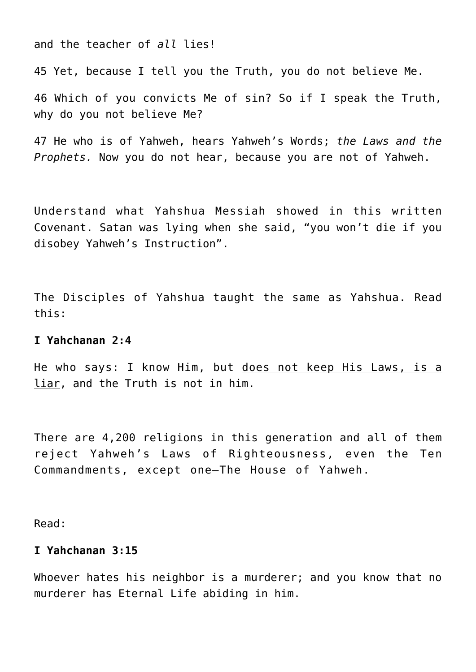and the teacher of *all* lies!

45 Yet, because I tell you the Truth, you do not believe Me.

46 Which of you convicts Me of sin? So if I speak the Truth, why do you not believe Me?

47 He who is of Yahweh, hears Yahweh's Words; *the Laws and the Prophets.* Now you do not hear, because you are not of Yahweh.

Understand what Yahshua Messiah showed in this written Covenant. Satan was lying when she said, "you won't die if you disobey Yahweh's Instruction".

The Disciples of Yahshua taught the same as Yahshua. Read this:

#### **I Yahchanan 2:4**

He who says: I know Him, but does not keep His Laws, is a liar, and the Truth is not in him.

There are 4,200 religions in this generation and all of them reject Yahweh's Laws of Righteousness, even the Ten Commandments, except one—The House of Yahweh.

Read:

#### **I Yahchanan 3:15**

Whoever hates his neighbor is a murderer; and you know that no murderer has Eternal Life abiding in him.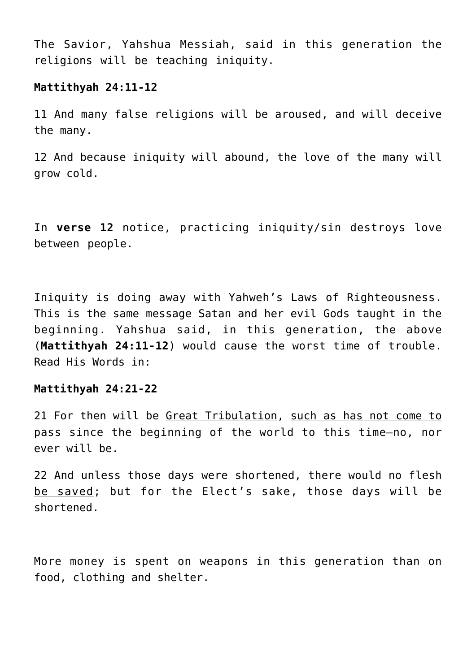The Savior, Yahshua Messiah, said in this generation the religions will be teaching iniquity.

#### **Mattithyah 24:11-12**

11 And many false religions will be aroused, and will deceive the many.

12 And because iniquity will abound, the love of the many will grow cold.

In **verse 12** notice, practicing iniquity/sin destroys love between people.

Iniquity is doing away with Yahweh's Laws of Righteousness. This is the same message Satan and her evil Gods taught in the beginning. Yahshua said, in this generation, the above (**Mattithyah 24:11-12**) would cause the worst time of trouble. Read His Words in:

#### **Mattithyah 24:21-22**

21 For then will be Great Tribulation, such as has not come to pass since the beginning of the world to this time—no, nor ever will be.

22 And unless those days were shortened, there would no flesh be saved; but for the Elect's sake, those days will be shortened.

More money is spent on weapons in this generation than on food, clothing and shelter.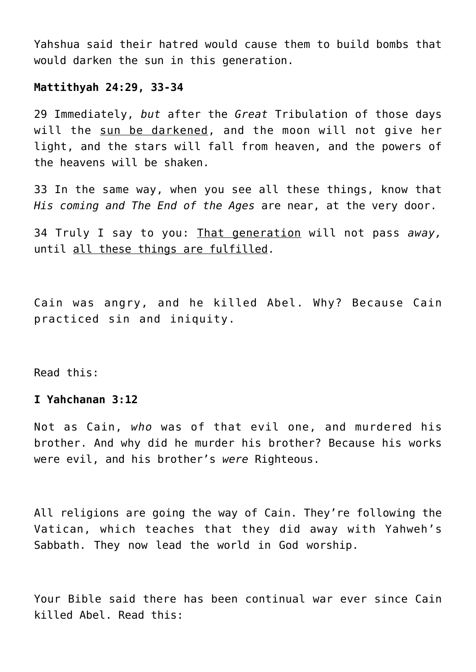Yahshua said their hatred would cause them to build bombs that would darken the sun in this generation.

#### **Mattithyah 24:29, 33-34**

29 Immediately, *but* after the *Great* Tribulation of those days will the sun be darkened, and the moon will not give her light, and the stars will fall from heaven, and the powers of the heavens will be shaken.

33 In the same way, when you see all these things, know that *His coming and The End of the Ages* are near, at the very door.

34 Truly I say to you: That generation will not pass *away,* until all these things are fulfilled.

Cain was angry, and he killed Abel. Why? Because Cain practiced sin and iniquity.

Read this:

# **I Yahchanan 3:12**

Not as Cain, *who* was of that evil one, and murdered his brother. And why did he murder his brother? Because his works were evil, and his brother's *were* Righteous.

All religions are going the way of Cain. They're following the Vatican, which teaches that they did away with Yahweh's Sabbath. They now lead the world in God worship.

Your Bible said there has been continual war ever since Cain killed Abel. Read this: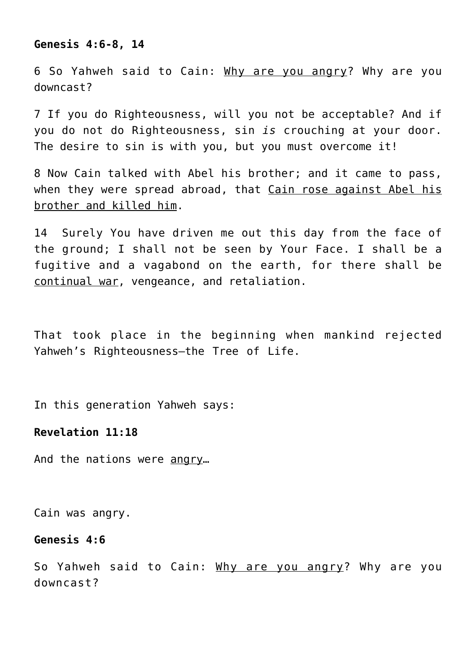#### **Genesis 4:6-8, 14**

6 So Yahweh said to Cain: Why are you angry? Why are you downcast?

7 If you do Righteousness, will you not be acceptable? And if you do not do Righteousness, sin *is* crouching at your door. The desire to sin is with you, but you must overcome it!

8 Now Cain talked with Abel his brother; and it came to pass, when they were spread abroad, that Cain rose against Abel his brother and killed him.

14 Surely You have driven me out this day from the face of the ground; I shall not be seen by Your Face. I shall be a fugitive and a vagabond on the earth, for there shall be continual war, vengeance, and retaliation.

That took place in the beginning when mankind rejected Yahweh's Righteousness—the Tree of Life.

In this generation Yahweh says:

#### **Revelation 11:18**

And the nations were angry...

Cain was angry.

#### **Genesis 4:6**

So Yahweh said to Cain: Why are you angry? Why are you downcast?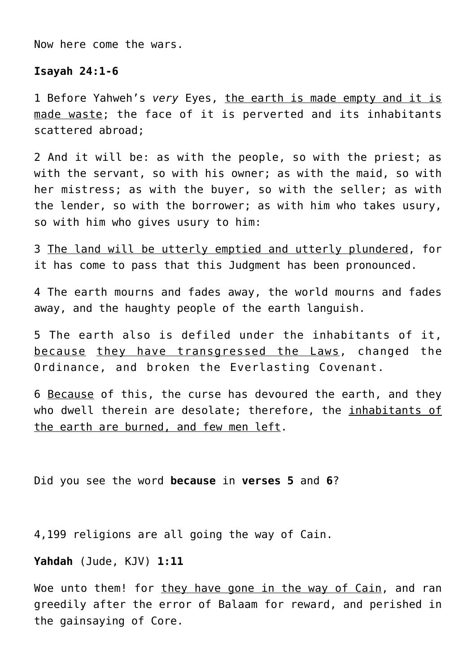Now here come the wars.

#### **Isayah 24:1-6**

1 Before Yahweh's *very* Eyes, the earth is made empty and it is made waste; the face of it is perverted and its inhabitants scattered abroad;

2 And it will be: as with the people, so with the priest; as with the servant, so with his owner; as with the maid, so with her mistress; as with the buyer, so with the seller; as with the lender, so with the borrower; as with him who takes usury, so with him who gives usury to him:

3 The land will be utterly emptied and utterly plundered, for it has come to pass that this Judgment has been pronounced.

4 The earth mourns and fades away, the world mourns and fades away, and the haughty people of the earth languish.

5 The earth also is defiled under the inhabitants of it, because they have transgressed the Laws, changed the Ordinance, and broken the Everlasting Covenant.

6 Because of this, the curse has devoured the earth, and they who dwell therein are desolate; therefore, the inhabitants of the earth are burned, and few men left.

Did you see the word **because** in **verses 5** and **6**?

4,199 religions are all going the way of Cain.

**Yahdah** (Jude, KJV) **1:11**

Woe unto them! for they have gone in the way of Cain, and ran greedily after the error of Balaam for reward, and perished in the gainsaying of Core.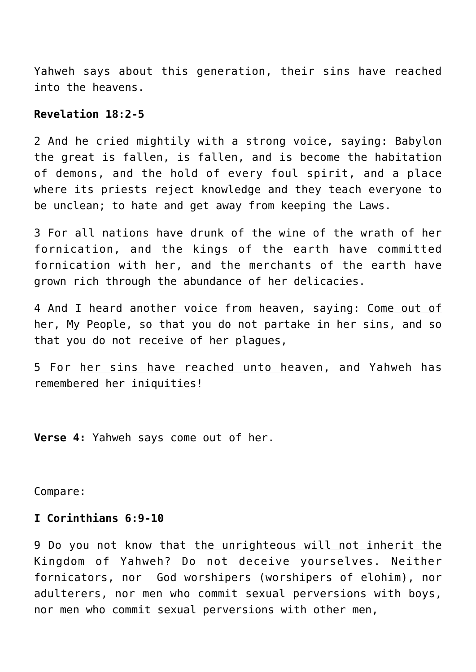Yahweh says about this generation, their sins have reached into the heavens.

# **Revelation 18:2-5**

2 And he cried mightily with a strong voice, saying: Babylon the great is fallen, is fallen, and is become the habitation of demons, and the hold of every foul spirit, and a place where its priests reject knowledge and they teach everyone to be unclean; to hate and get away from keeping the Laws.

3 For all nations have drunk of the wine of the wrath of her fornication, and the kings of the earth have committed fornication with her, and the merchants of the earth have grown rich through the abundance of her delicacies.

4 And I heard another voice from heaven, saying: Come out of her, My People, so that you do not partake in her sins, and so that you do not receive of her plagues,

5 For her sins have reached unto heaven, and Yahweh has remembered her iniquities!

**Verse 4:** Yahweh says come out of her.

Compare:

#### **I Corinthians 6:9-10**

9 Do you not know that the unrighteous will not inherit the Kingdom of Yahweh? Do not deceive yourselves. Neither fornicators, nor God worshipers (worshipers of elohim), nor adulterers, nor men who commit sexual perversions with boys, nor men who commit sexual perversions with other men,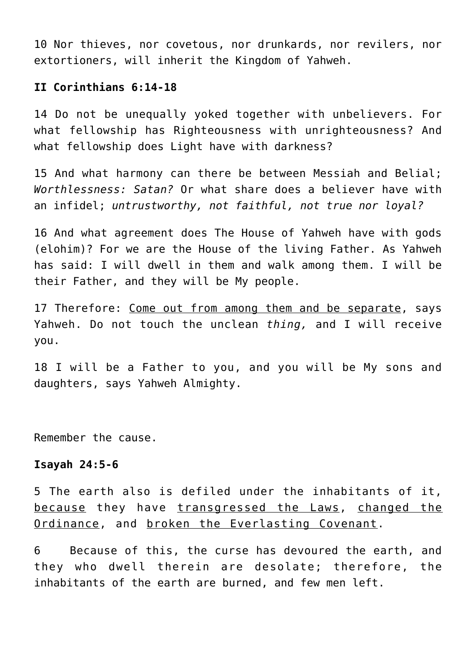10 Nor thieves, nor covetous, nor drunkards, nor revilers, nor extortioners, will inherit the Kingdom of Yahweh.

#### **II Corinthians 6:14-18**

14 Do not be unequally yoked together with unbelievers. For what fellowship has Righteousness with unrighteousness? And what fellowship does Light have with darkness?

15 And what harmony can there be between Messiah and Belial; *Worthlessness: Satan?* Or what share does a believer have with an infidel; *untrustworthy, not faithful, not true nor loyal?*

16 And what agreement does The House of Yahweh have with gods (elohim)? For we are the House of the living Father. As Yahweh has said: I will dwell in them and walk among them. I will be their Father, and they will be My people.

17 Therefore: Come out from among them and be separate, says Yahweh. Do not touch the unclean *thing,* and I will receive you.

18 I will be a Father to you, and you will be My sons and daughters, says Yahweh Almighty.

Remember the cause.

#### **Isayah 24:5-6**

5 The earth also is defiled under the inhabitants of it, because they have transgressed the Laws, changed the Ordinance, and broken the Everlasting Covenant.

6 Because of this, the curse has devoured the earth, and they who dwell therein are desolate; therefore, the inhabitants of the earth are burned, and few men left.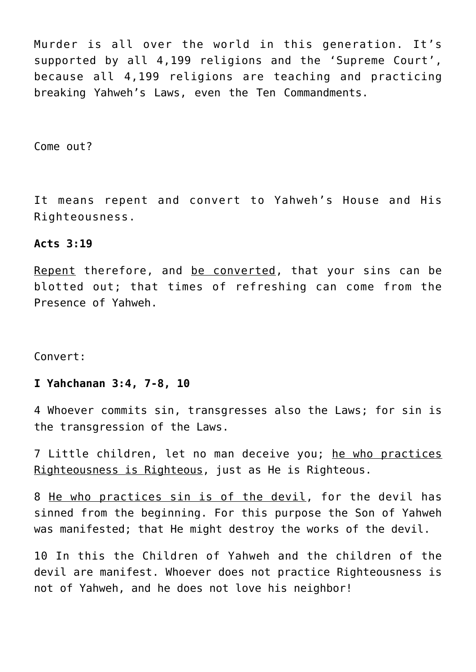Murder is all over the world in this generation. It's supported by all 4,199 religions and the 'Supreme Court', because all 4,199 religions are teaching and practicing breaking Yahweh's Laws, even the Ten Commandments.

Come out?

It means repent and convert to Yahweh's House and His Righteousness.

#### **Acts 3:19**

Repent therefore, and be converted, that your sins can be blotted out; that times of refreshing can come from the Presence of Yahweh.

Convert:

# **I Yahchanan 3:4, 7-8, 10**

4 Whoever commits sin, transgresses also the Laws; for sin is the transgression of the Laws.

7 Little children, let no man deceive you; he who practices Righteousness is Righteous, just as He is Righteous.

8 He who practices sin is of the devil, for the devil has sinned from the beginning. For this purpose the Son of Yahweh was manifested; that He might destroy the works of the devil.

10 In this the Children of Yahweh and the children of the devil are manifest. Whoever does not practice Righteousness is not of Yahweh, and he does not love his neighbor!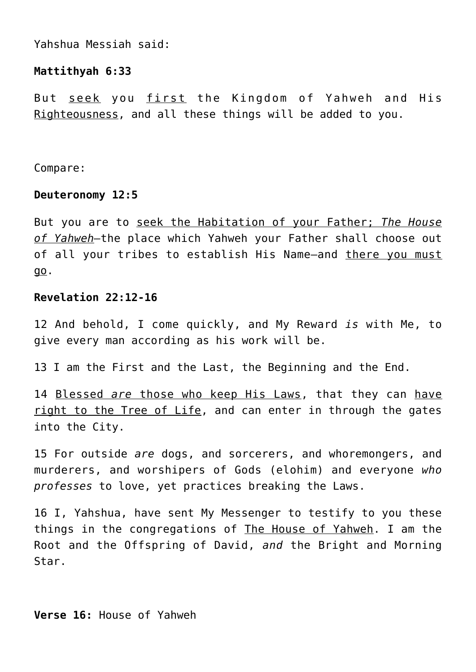Yahshua Messiah said:

# **Mattithyah 6:33**

But seek you first the Kingdom of Yahweh and His Righteousness, and all these things will be added to you.

Compare:

#### **Deuteronomy 12:5**

But you are to seek the Habitation of your Father; *The House of Yahweh—*the place which Yahweh your Father shall choose out of all your tribes to establish His Name—and there you must go.

# **Revelation 22:12-16**

12 And behold, I come quickly, and My Reward *is* with Me, to give every man according as his work will be.

13 I am the First and the Last, the Beginning and the End.

14 Blessed *are* those who keep His Laws, that they can have right to the Tree of Life, and can enter in through the gates into the City.

15 For outside *are* dogs, and sorcerers, and whoremongers, and murderers, and worshipers of Gods (elohim) and everyone *who professes* to love, yet practices breaking the Laws.

16 I, Yahshua, have sent My Messenger to testify to you these things in the congregations of The House of Yahweh. I am the Root and the Offspring of David, *and* the Bright and Morning Star.

**Verse 16:** House of Yahweh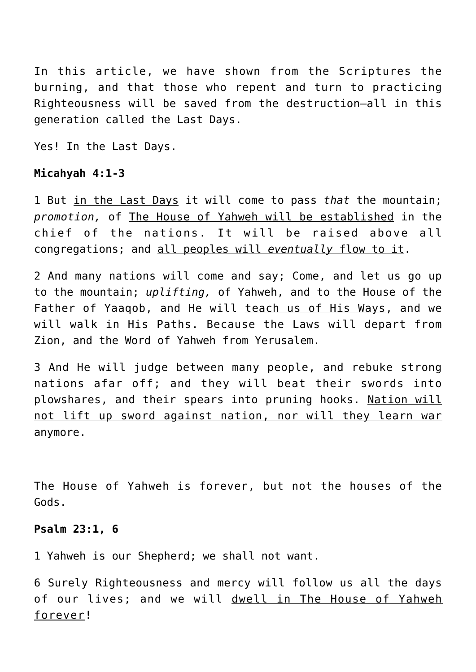In this article, we have shown from the Scriptures the burning, and that those who repent and turn to practicing Righteousness will be saved from the destruction—all in this generation called the Last Days.

Yes! In the Last Days.

# **Micahyah 4:1-3**

1 But in the Last Days it will come to pass *that* the mountain; *promotion,* of The House of Yahweh will be established in the chief of the nations. It will be raised above all congregations; and all peoples will *eventually* flow to it.

2 And many nations will come and say; Come, and let us go up to the mountain; *uplifting,* of Yahweh, and to the House of the Father of Yaaqob, and He will teach us of His Ways, and we will walk in His Paths. Because the Laws will depart from Zion, and the Word of Yahweh from Yerusalem.

3 And He will judge between many people, and rebuke strong nations afar off; and they will beat their swords into plowshares, and their spears into pruning hooks. Nation will not lift up sword against nation, nor will they learn war anymore.

The House of Yahweh is forever, but not the houses of the Gods.

# **Psalm 23:1, 6**

1 Yahweh is our Shepherd; we shall not want.

6 Surely Righteousness and mercy will follow us all the days of our lives; and we will dwell in The House of Yahweh forever!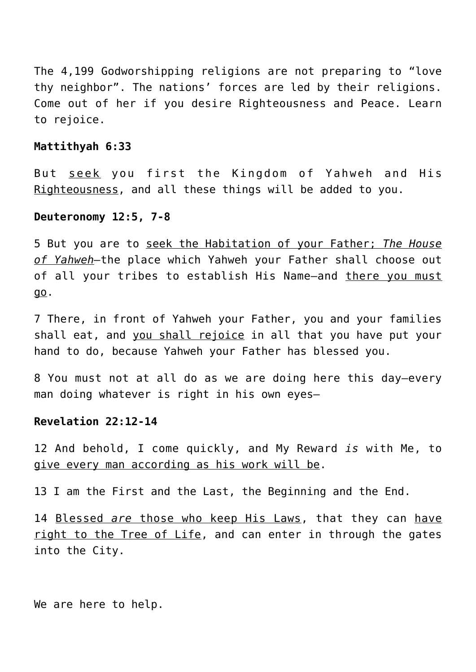The 4,199 Godworshipping religions are not preparing to "love thy neighbor". The nations' forces are led by their religions. Come out of her if you desire Righteousness and Peace. Learn to rejoice.

#### **Mattithyah 6:33**

But seek you first the Kingdom of Yahweh and His Righteousness, and all these things will be added to you.

#### **Deuteronomy 12:5, 7-8**

5 But you are to seek the Habitation of your Father; *The House of Yahweh—*the place which Yahweh your Father shall choose out of all your tribes to establish His Name-and there you must go.

7 There, in front of Yahweh your Father, you and your families shall eat, and you shall rejoice in all that you have put your hand to do, because Yahweh your Father has blessed you.

8 You must not at all do as we are doing here this day—every man doing whatever is right in his own eyes—

#### **Revelation 22:12-14**

12 And behold, I come quickly, and My Reward *is* with Me, to give every man according as his work will be.

13 I am the First and the Last, the Beginning and the End.

14 Blessed *are* those who keep His Laws, that they can have right to the Tree of Life, and can enter in through the gates into the City.

We are here to help.